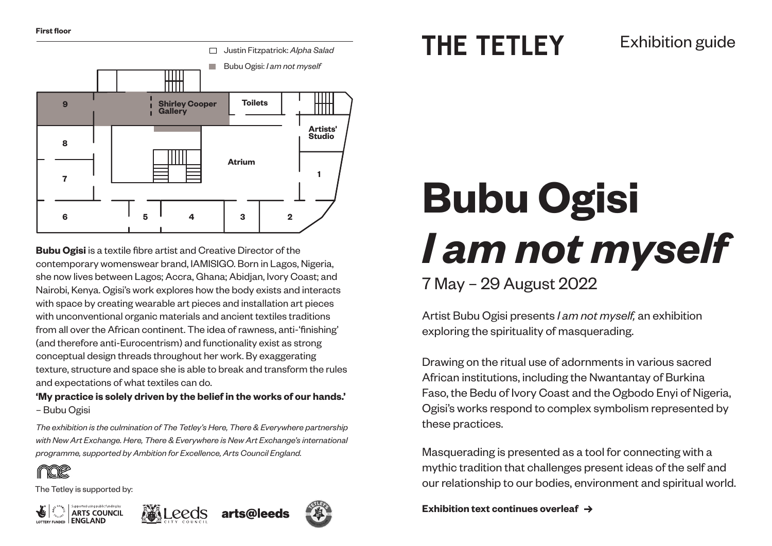

**Bubu Ogisi** is a textile fibre artist and Creative Director of the contemporary womenswear brand, IAMISIGO. Born in Lagos, Nigeria, she now lives between Lagos; Accra, Ghana; Abidjan, Ivory Coast; and Nairobi, Kenya. Ogisi's work explores how the body exists and interacts with space by creating wearable art pieces and installation art pieces with unconventional organic materials and ancient textiles traditions from all over the African continent. The idea of rawness, anti-'finishing' (and therefore anti-Eurocentrism) and functionality exist as strong conceptual design threads throughout her work. By exaggerating texture, structure and space she is able to break and transform the rules and expectations of what textiles can do.

#### **'My practice is solely driven by the belief in the works of our hands.'**  – Bubu Ogisi

*The exhibition is the culmination of The Tetley's Here, There & Everywhere partnership with New Art Exchange. Here, There & Everywhere is New Art Exchange's international programme, supported by Ambition for Excellence, Arts Council England.*



The Tetley is supported by:







## THE TETLEY

## Exhibition guide

# **Bubu Ogisi**  *I am not myself* 7 May – 29 August 2022

Artist Bubu Ogisi presents *I am not myself,* an exhibition exploring the spirituality of masquerading.

Drawing on the ritual use of adornments in various sacred African institutions, including the Nwantantay of Burkina Faso, the Bedu of Ivory Coast and the Ogbodo Enyi of Nigeria, Ogisi's works respond to complex symbolism represented by these practices.

Masquerading is presented as a tool for connecting with a mythic tradition that challenges present ideas of the self and our relationship to our bodies, environment and spiritual world.

**Exhibition text continues overleaf**